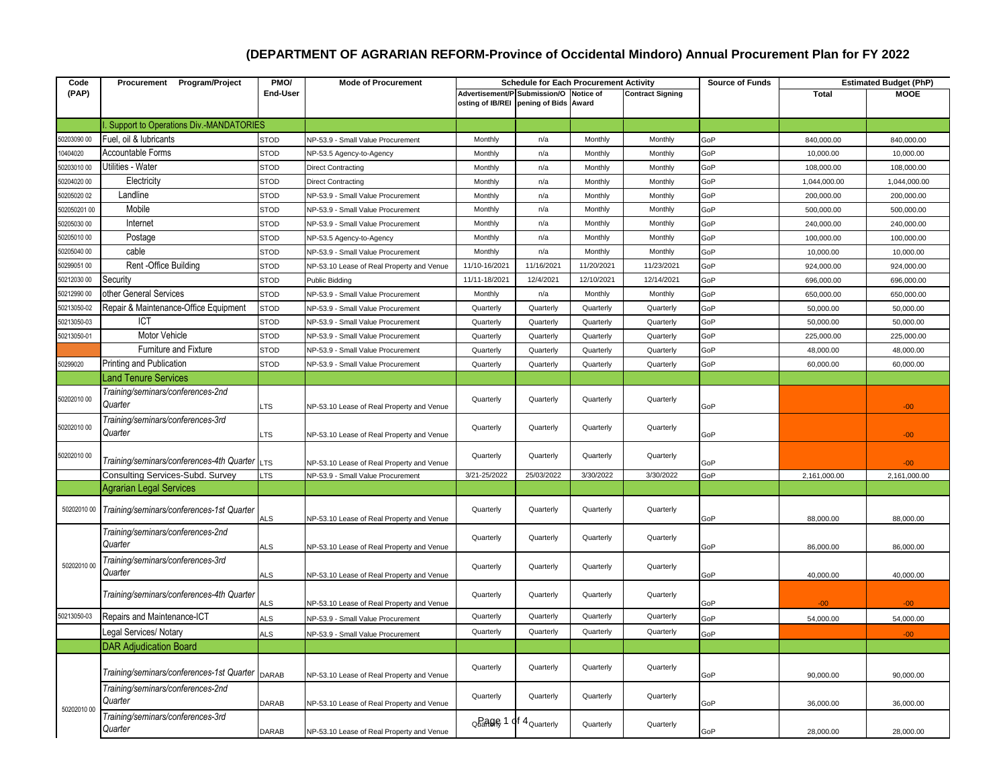## **(DEPARTMENT OF AGRARIAN REFORM-Province of Occidental Mindoro) Annual Procurement Plan for FY 2022**

| Code         | Procurement Program/Project                           | PMO/        | <b>Mode of Procurement</b>                | <b>Schedule for Each Procurement Activity</b> |                            |            |                         | <b>Source of Funds</b> |              | <b>Estimated Budget (PhP)</b> |
|--------------|-------------------------------------------------------|-------------|-------------------------------------------|-----------------------------------------------|----------------------------|------------|-------------------------|------------------------|--------------|-------------------------------|
| (PAP)        |                                                       | End-User    |                                           | Advertisement/P Submission/O Notice of        |                            |            | <b>Contract Signing</b> |                        | <b>Total</b> | <b>MOOE</b>                   |
|              |                                                       |             |                                           | osting of IB/REI pening of Bids Award         |                            |            |                         |                        |              |                               |
|              |                                                       |             |                                           |                                               |                            |            |                         |                        |              |                               |
|              | <b>Support to Operations Div.-MANDATORIES</b>         |             |                                           |                                               |                            |            |                         |                        |              |                               |
| 50203090 00  | Fuel, oil & lubricants                                | <b>STOD</b> | NP-53.9 - Small Value Procurement         | Monthly                                       | n/a                        | Monthly    | Monthly                 | GoP                    | 840,000.00   | 840,000.00                    |
| 10404020     | <b>Accountable Forms</b>                              | <b>STOD</b> | VP-53.5 Agency-to-Agency                  | Monthly                                       | n/a                        | Monthly    | Monthly                 | GoP                    | 10,000.00    | 10,000.00                     |
| 50203010 00  | Utilities - Water                                     | <b>STOD</b> | <b>Direct Contracting</b>                 | Monthly                                       | n/a                        | Monthly    | Monthly                 | GoP                    | 108,000.00   | 108,000.00                    |
| 50204020 00  | Electricity                                           | <b>STOD</b> | <b>Direct Contracting</b>                 | Monthly                                       | n/a                        | Monthly    | Monthly                 | GoP                    | 1,044,000.00 | 1,044,000.00                  |
| 50205020 02  | Landline                                              | <b>STOD</b> | NP-53.9 - Small Value Procurement         | Monthly                                       | n/a                        | Monthly    | Monthly                 | GoP                    | 200,000.00   | 200,000.00                    |
| 502050201 00 | Mobile                                                | <b>STOD</b> | NP-53.9 - Small Value Procurement         | Monthly                                       | n/a                        | Monthly    | Monthly                 | GoP                    | 500,000.00   | 500,000.00                    |
| 50205030 00  | Internet                                              | <b>STOD</b> | NP-53.9 - Small Value Procurement         | Monthly                                       | n/a                        | Monthly    | Monthly                 | GoP                    | 240,000.00   | 240,000.00                    |
| 50205010 00  | Postage                                               | <b>STOD</b> | NP-53.5 Agency-to-Agency                  | Monthly                                       | n/a                        | Monthly    | Monthly                 | GoP                    | 100,000.00   | 100,000.00                    |
| 50205040 00  | cable                                                 | <b>STOD</b> | <b>VP-53.9 - Small Value Procurement</b>  | Monthly                                       | n/a                        | Monthly    | Monthly                 | GoP                    | 10.000.00    | 10.000.00                     |
| 50299051 00  | Rent - Office Building                                | <b>STOD</b> | NP-53.10 Lease of Real Property and Venue | 11/10-16/2021                                 | 11/16/2021                 | 11/20/2021 | 11/23/2021              | GoP                    | 924,000.00   | 924,000.00                    |
| 50212030 00  | Security                                              | <b>STOD</b> | Public Bidding                            | 11/11-18/2021                                 | 12/4/2021                  | 12/10/2021 | 12/14/2021              | GoP                    | 696,000.00   | 696,000.00                    |
| 50212990 00  | other General Services                                | <b>STOD</b> | NP-53.9 - Small Value Procurement         | Monthly                                       | n/a                        | Monthly    | Monthly                 | GoP                    | 650,000.00   | 650,000.00                    |
| 50213050-02  | Repair & Maintenance-Office Equipment                 | <b>STOD</b> | NP-53.9 - Small Value Procurement         | Quarterly                                     | Quarterly                  | Quarterly  | Quarterly               | GoP                    | 50,000.00    | 50,000.00                     |
| 50213050-03  | ICT                                                   | <b>STOD</b> | <b>VP-53.9 - Small Value Procurement</b>  | Quarterly                                     | Quarterly                  | Quarterly  | Quarterly               | GoP                    | 50,000.00    | 50,000.00                     |
| 50213050-01  | Motor Vehicle                                         | <b>STOD</b> | NP-53.9 - Small Value Procurement         | Quarterly                                     | Quarterly                  | Quarterly  | Quarterly               | GoP                    | 225,000.00   | 225,000.00                    |
|              | Furniture and Fixture                                 | <b>STOD</b> | <b>VP-53.9 - Small Value Procurement</b>  | Quarterly                                     | Quarterly                  | Quarterly  | Quarterly               | GoP                    | 48,000.00    | 48,000.00                     |
| 50299020     | Printing and Publication                              | <b>STOD</b> | NP-53.9 - Small Value Procurement         | Quarterly                                     | Quarterly                  | Quarterly  | Quarterly               | GoP                    | 60,000.00    | 60,000.00                     |
|              | <b>Land Tenure Services</b>                           |             |                                           |                                               |                            |            |                         |                        |              |                               |
|              |                                                       |             |                                           |                                               |                            |            |                         |                        |              |                               |
| 50202010 00  | Training/seminars/conferences-2nd<br>Quarter          | <b>LTS</b>  | NP-53.10 Lease of Real Property and Venue | Quarterly                                     | Quarterly                  | Quarterly  | Quarterly               | GoP                    |              | $-00$                         |
| 50202010 00  | Training/seminars/conferences-3rd<br>Quarter          | <b>LTS</b>  | NP-53.10 Lease of Real Property and Venue | Quarterly                                     | Quarterly                  | Quarterly  | Quarterly               | GoP                    |              | $-00 -$                       |
| 50202010 00  | Training/seminars/conferences-4th Quarter             | <b>LTS</b>  | NP-53.10 Lease of Real Property and Venue | Quarterly                                     | Quarterly                  | Quarterly  | Quarterly               | GoP                    |              | $-00 -$                       |
|              | Consulting Services-Subd. Survey                      | <b>LTS</b>  | NP-53.9 - Small Value Procurement         | 3/21-25/2022                                  | 25/03/2022                 | 3/30/2022  | 3/30/2022               | GoP                    | 2,161,000.00 | 2,161,000.00                  |
|              | <b>Agrarian Legal Services</b>                        |             |                                           |                                               |                            |            |                         |                        |              |                               |
|              |                                                       |             |                                           |                                               |                            |            |                         |                        |              |                               |
|              | 50202010 00 Training/seminars/conferences-1st Quarter | ALS         | NP-53.10 Lease of Real Property and Venue | Quarterly                                     | Quarterly                  | Quarterly  | Quarterly               | GoP                    | 88,000.00    | 88,000.00                     |
|              | Training/seminars/conferences-2nd                     |             |                                           | Quarterly                                     | Quarterly                  | Quarterly  | Quarterly               |                        |              |                               |
|              | Quarter                                               | ALS         | NP-53.10 Lease of Real Property and Venue |                                               |                            |            |                         | GoP                    | 86,000.00    | 86,000.00                     |
| 50202010 00  | Training/seminars/conferences-3rd                     |             |                                           |                                               |                            |            |                         |                        |              |                               |
|              | Quarter                                               | <b>ALS</b>  | NP-53.10 Lease of Real Property and Venue | Quarterly                                     | Quarterly                  | Quarterly  | Quarterly               | GoP                    | 40,000.00    | 40,000.00                     |
|              | Training/seminars/conferences-4th Quarter             |             |                                           | Quarterly                                     | Quarterly                  | Quarterly  | Quarterly               |                        |              |                               |
|              |                                                       | <b>ALS</b>  | NP-53.10 Lease of Real Property and Venue |                                               |                            |            |                         | GoP                    | $-00-$       | $-00 -$                       |
| 50213050-03  | Repairs and Maintenance-ICT                           | <b>ALS</b>  | NP-53.9 - Small Value Procurement         | Quarterly                                     | Quarterly                  | Quarterly  | Quarterly               | GoP                    | 54,000.00    | 54,000.00                     |
|              | Legal Services/ Notary                                | <b>ALS</b>  | VP-53.9 - Small Value Procurement         | Quarterly                                     | Quarterly                  | Quarterly  | Quarterly               | GoP                    |              | $00 -$                        |
|              | <b>DAR Adjudication Board</b>                         |             |                                           |                                               |                            |            |                         |                        |              |                               |
|              | Training/seminars/conferences-1st Quarter             | DARAB       | NP-53.10 Lease of Real Property and Venue | Quarterly                                     | Quarterly                  | Quarterly  | Quarterly               | GoP                    | 90,000.00    | 90,000.00                     |
|              | Training/seminars/conferences-2nd                     |             |                                           |                                               |                            |            |                         |                        |              |                               |
|              | Quarter                                               | DARAB       | NP-53.10 Lease of Real Property and Venue | Quarterly                                     | Quarterly                  | Quarterly  | Quarterly               | GoP                    | 36,000.00    | 36,000.00                     |
| 50202010 00  | Training/seminars/conferences-3rd                     |             |                                           |                                               |                            |            |                         |                        |              |                               |
|              | Quarter                                               | DARAB       | NP-53.10 Lease of Real Property and Venue |                                               | Quarterly 1 of 4 Quarterly | Quarterly  | Quarterly               | GoP                    | 28,000.00    | 28,000.00                     |
|              |                                                       |             |                                           |                                               |                            |            |                         |                        |              |                               |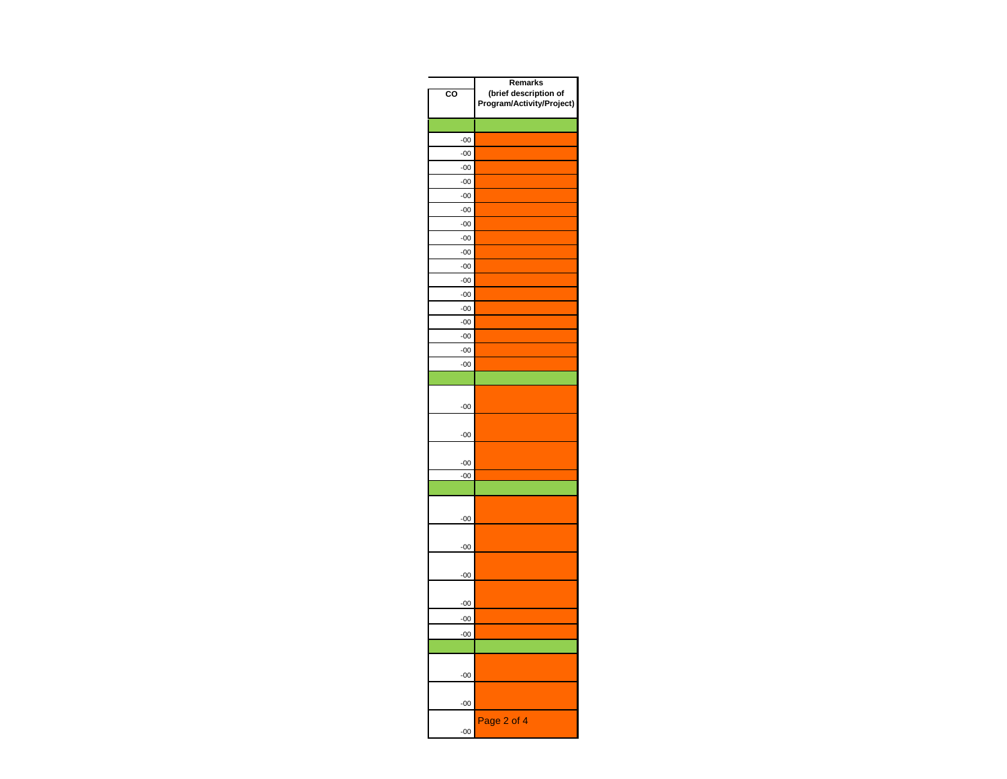| $_{\rm co}$    | Remarks<br>(brief description of<br>Program/Activity/Project) |
|----------------|---------------------------------------------------------------|
|                |                                                               |
| $-00$          |                                                               |
| $-00$          |                                                               |
| $-00$          |                                                               |
| $-00$          |                                                               |
| $-00$          |                                                               |
| $-00$          |                                                               |
| $-00$          |                                                               |
| $-00$<br>$-00$ |                                                               |
| $-00$          |                                                               |
| $-00$          |                                                               |
| $-00$          |                                                               |
| $-00$          |                                                               |
| $-00$          |                                                               |
| $-00$          |                                                               |
| $-00$          |                                                               |
| $-00$          |                                                               |
|                |                                                               |
| $-00$          |                                                               |
| $-00$          |                                                               |
| $-00$          |                                                               |
| $-00$          |                                                               |
|                |                                                               |
| $-00$          |                                                               |
| $-00$          |                                                               |
| $-00$          |                                                               |
| $-00$          |                                                               |
| $-00$          |                                                               |
| $-00$          |                                                               |
|                |                                                               |
| $-00$          |                                                               |
| $-00$          |                                                               |
| $-00$          | Page 2 of 4                                                   |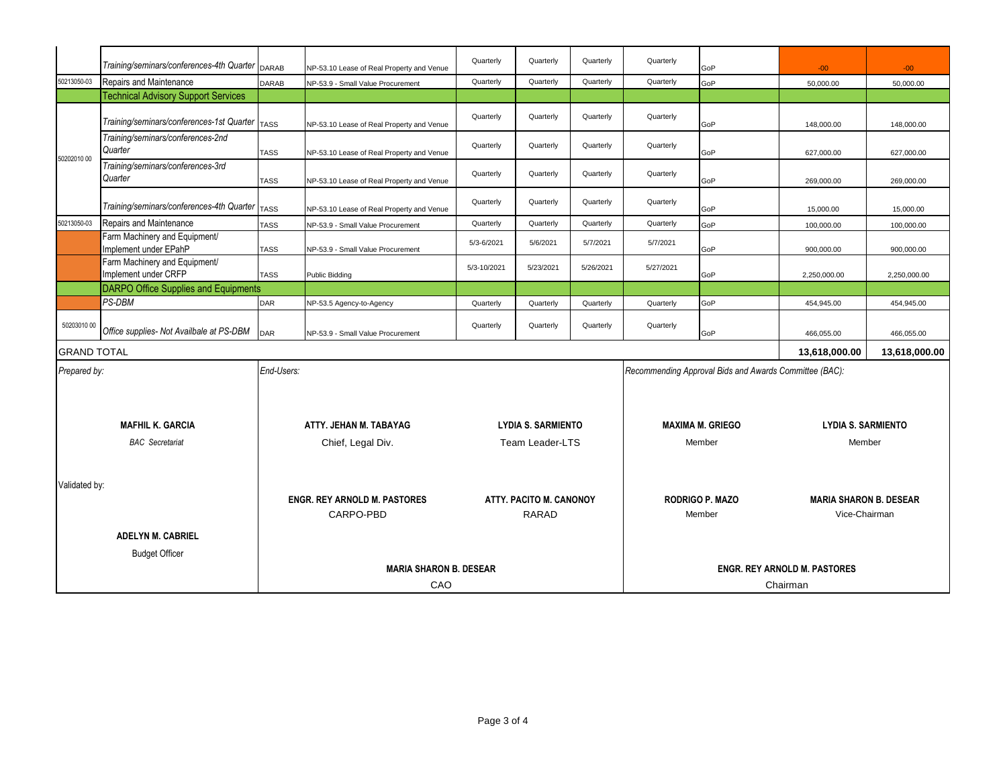|                          | Training/seminars/conferences-4th Quarter DARAB        |                                                  | NP-53.10 Lease of Real Property and Venue | Quarterly                               | Quarterly                 | Quarterly                                              | Quarterly | GoP                                            | $-00$         | $-00 -$                   |  |
|--------------------------|--------------------------------------------------------|--------------------------------------------------|-------------------------------------------|-----------------------------------------|---------------------------|--------------------------------------------------------|-----------|------------------------------------------------|---------------|---------------------------|--|
| 50213050-03              | Repairs and Maintenance                                | DARAB                                            | NP-53.9 - Small Value Procurement         | Quarterly                               | Quarterly                 | Quarterly                                              | Quarterly | GoP                                            | 50,000.00     | 50,000.00                 |  |
|                          | <b>Technical Advisory Support Services</b>             |                                                  |                                           |                                         |                           |                                                        |           |                                                |               |                           |  |
|                          | Training/seminars/conferences-1st Quarter   TASS       |                                                  | NP-53.10 Lease of Real Property and Venue | Quarterly                               | Quarterly                 | Quarterly                                              | Quarterly | GoP                                            | 148,000.00    | 148,000.00                |  |
| 50202010 00              | Training/seminars/conferences-2nd<br>Quarter           | <b>TASS</b>                                      | NP-53.10 Lease of Real Property and Venue | Quarterly                               | Quarterly                 | Quarterly                                              | Quarterly | GoP                                            | 627.000.00    | 627.000.00                |  |
|                          | Training/seminars/conferences-3rd<br>Quarter           | <b>TASS</b>                                      | NP-53.10 Lease of Real Property and Venue | Quarterly                               | Quarterly                 | Quarterly                                              | Quarterly | GoP                                            | 269,000.00    | 269,000.00                |  |
|                          | Training/seminars/conferences-4th Quarter TASS         |                                                  | NP-53.10 Lease of Real Property and Venue | Quarterly                               | Quarterly                 | Quarterly                                              | Quarterly | GoP                                            | 15,000.00     | 15,000.00                 |  |
| 50213050-03              | Repairs and Maintenance                                | <b>TASS</b>                                      | NP-53.9 - Small Value Procurement         | Quarterly                               | Quarterly                 | Quarterly                                              | Quarterly | GoP                                            | 100,000.00    | 100,000.00                |  |
|                          | Farm Machinery and Equipment/<br>Implement under EPahP | <b>TASS</b>                                      | NP-53.9 - Small Value Procurement         | 5/3-6/2021                              | 5/6/2021                  | 5/7/2021                                               | 5/7/2021  | GoP                                            | 900,000.00    | 900,000.00                |  |
|                          | Farm Machinery and Equipment/<br>Implement under CRFP  | <b>TASS</b>                                      | Public Bidding                            | 5/3-10/2021                             | 5/23/2021                 | 5/26/2021                                              | 5/27/2021 | GoP                                            | 2,250,000.00  | 2.250.000.00              |  |
|                          | <b>DARPO Office Supplies and Equipments</b>            |                                                  |                                           |                                         |                           |                                                        |           |                                                |               |                           |  |
|                          | PS-DBM                                                 | <b>DAR</b>                                       | NP-53.5 Agency-to-Agency                  | Quarterly                               | Quarterly                 | Quarterly                                              | Quarterly | GoP                                            | 454,945.00    | 454,945.00                |  |
| 50203010 00              | Office supplies- Not Availbale at PS-DBM               | DAR                                              | NP-53.9 - Small Value Procurement         | Quarterly                               | Quarterly                 | Quarterly                                              | Quarterly | GoP                                            | 466,055.00    | 466,055.00                |  |
| <b>GRAND TOTAL</b>       |                                                        |                                                  |                                           |                                         |                           |                                                        |           |                                                | 13,618,000.00 | 13,618,000.00             |  |
| Prepared by:             |                                                        | End-Users:                                       |                                           |                                         |                           | Recommending Approval Bids and Awards Committee (BAC): |           |                                                |               |                           |  |
|                          |                                                        |                                                  |                                           |                                         |                           |                                                        |           |                                                |               |                           |  |
|                          | <b>MAFHIL K. GARCIA</b>                                |                                                  | ATTY, JEHAN M. TABAYAG                    |                                         | <b>LYDIA S. SARMIENTO</b> |                                                        |           | <b>MAXIMA M. GRIEGO</b>                        |               | <b>LYDIA S. SARMIENTO</b> |  |
| <b>BAC</b> Secretariat   |                                                        | Chief, Legal Div.                                |                                           | <b>Team Leader-LTS</b>                  |                           | Member                                                 |           | Member                                         |               |                           |  |
| Validated by:            |                                                        | <b>ENGR. REY ARNOLD M. PASTORES</b><br>CARPO-PBD |                                           | ATTY, PACITO M. CANONOY<br><b>RARAD</b> |                           | <b>RODRIGO P. MAZO</b><br>Member                       |           | <b>MARIA SHARON B. DESEAR</b><br>Vice-Chairman |               |                           |  |
| <b>ADELYN M. CABRIEL</b> |                                                        |                                                  |                                           |                                         |                           |                                                        |           |                                                |               |                           |  |
|                          | <b>Budget Officer</b>                                  |                                                  |                                           |                                         |                           |                                                        |           |                                                |               |                           |  |
|                          |                                                        | <b>MARIA SHARON B. DESEAR</b>                    |                                           |                                         |                           | <b>ENGR. REY ARNOLD M. PASTORES</b>                    |           |                                                |               |                           |  |
|                          | CAO                                                    |                                                  |                                           |                                         |                           | Chairman                                               |           |                                                |               |                           |  |